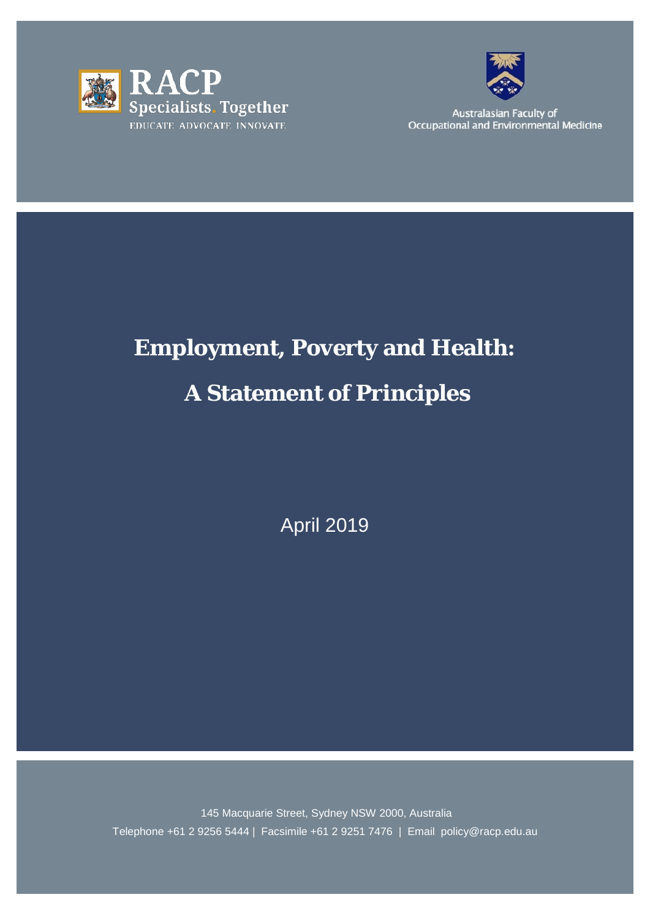



Australasian Faculty of Occupational and Environmental Medicine

# **Employment, Poverty and Health: A Statement of Principles**

April 2019

145 Macquarie Street, Sydney NSW 2000, Australia Telephone +61 2 9256 5444 | Facsimile +61 2 9251 7476 | Email policy@racp.edu.au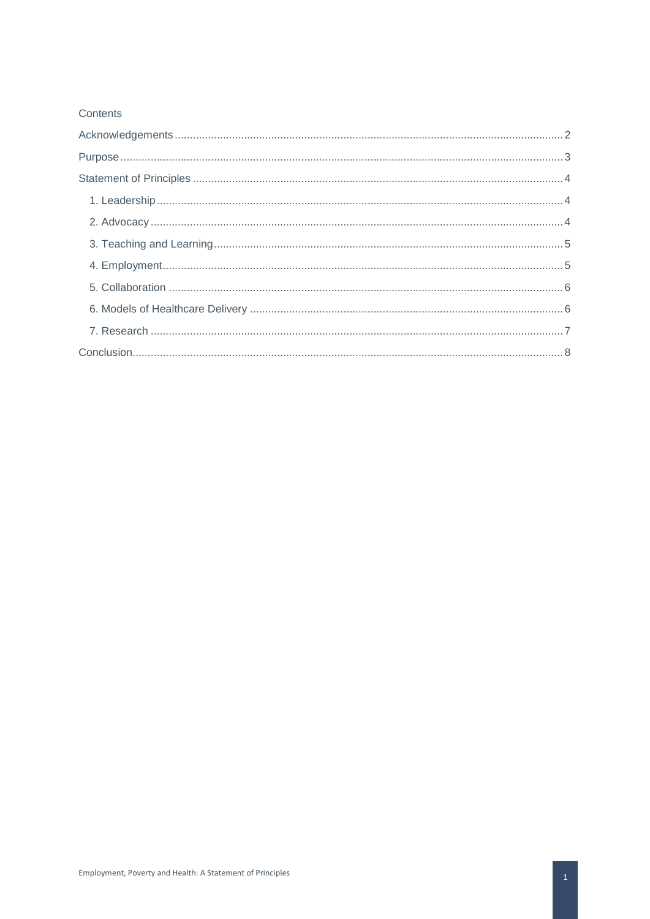#### Contents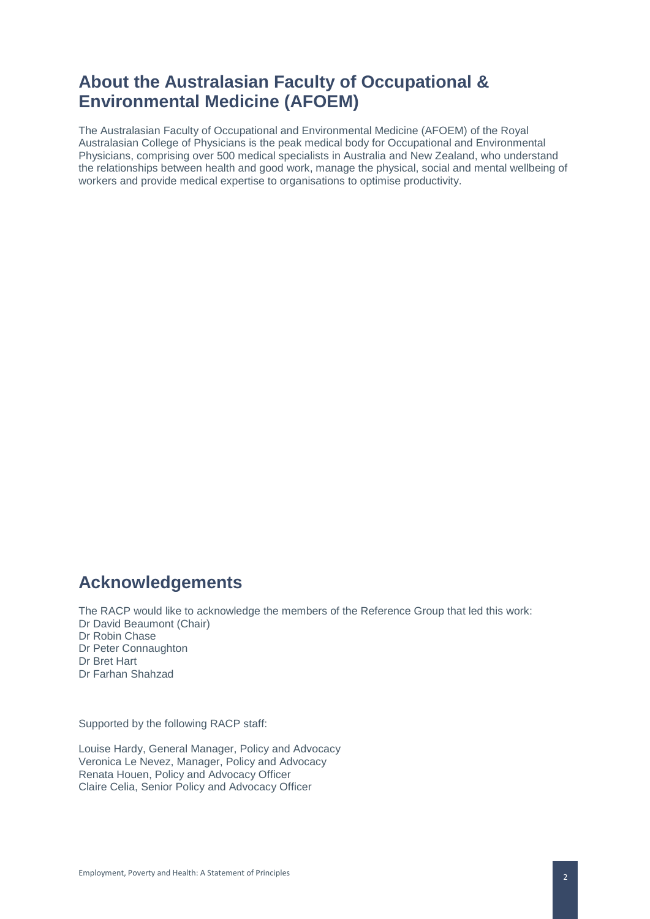# **About the Australasian Faculty of Occupational & Environmental Medicine (AFOEM)**

The Australasian Faculty of Occupational and Environmental Medicine (AFOEM) of the Royal Australasian College of Physicians is the peak medical body for Occupational and Environmental Physicians, comprising over 500 medical specialists in Australia and New Zealand, who understand the relationships between health and good work, manage the physical, social and mental wellbeing of workers and provide medical expertise to organisations to optimise productivity.

# <span id="page-2-0"></span>**Acknowledgements**

The RACP would like to acknowledge the members of the Reference Group that led this work: Dr David Beaumont (Chair) Dr Robin Chase Dr Peter Connaughton Dr Bret Hart Dr Farhan Shahzad

Supported by the following RACP staff:

Louise Hardy, General Manager, Policy and Advocacy Veronica Le Nevez, Manager, Policy and Advocacy Renata Houen, Policy and Advocacy Officer Claire Celia, Senior Policy and Advocacy Officer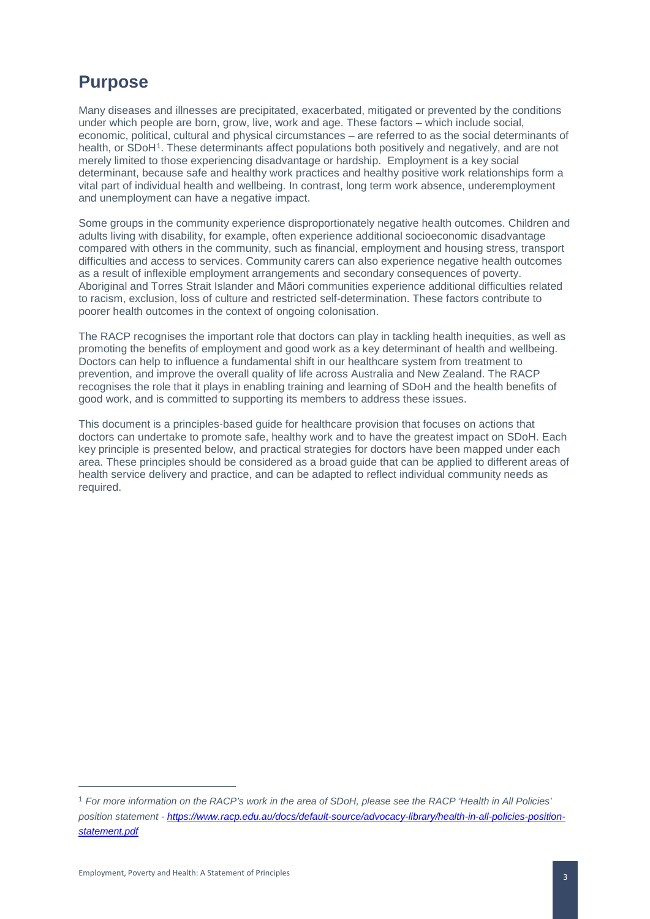# <span id="page-3-0"></span>**Purpose**

Many diseases and illnesses are precipitated, exacerbated, mitigated or prevented by the conditions under which people are born, grow, live, work and age. These factors – which include social, economic, political, cultural and physical circumstances – are referred to as the social determinants of health, or SDoH<sup>[1](#page-3-1)</sup>. These determinants affect populations both positively and negatively, and are not merely limited to those experiencing disadvantage or hardship. Employment is a key social determinant, because safe and healthy work practices and healthy positive work relationships form a vital part of individual health and wellbeing. In contrast, long term work absence, underemployment and unemployment can have a negative impact.

Some groups in the community experience disproportionately negative health outcomes. Children and adults living with disability, for example, often experience additional socioeconomic disadvantage compared with others in the community, such as financial, employment and housing stress, transport difficulties and access to services. Community carers can also experience negative health outcomes as a result of inflexible employment arrangements and secondary consequences of poverty. Aboriginal and Torres Strait Islander and Māori communities experience additional difficulties related to racism, exclusion, loss of culture and restricted self-determination. These factors contribute to poorer health outcomes in the context of ongoing colonisation.

The RACP recognises the important role that doctors can play in tackling health inequities, as well as promoting the benefits of employment and good work as a key determinant of health and wellbeing. Doctors can help to influence a fundamental shift in our healthcare system from treatment to prevention, and improve the overall quality of life across Australia and New Zealand. The RACP recognises the role that it plays in enabling training and learning of SDoH and the health benefits of good work, and is committed to supporting its members to address these issues.

This document is a principles-based guide for healthcare provision that focuses on actions that doctors can undertake to promote safe, healthy work and to have the greatest impact on SDoH. Each key principle is presented below, and practical strategies for doctors have been mapped under each area. These principles should be considered as a broad guide that can be applied to different areas of health service delivery and practice, and can be adapted to reflect individual community needs as required.

 $\overline{a}$ 

<span id="page-3-1"></span><sup>1</sup> *For more information on the RACP's work in the area of SDoH, please see the RACP 'Health in All Policies' position statement - [https://www.racp.edu.au/docs/default-source/advocacy-library/health-in-all-policies-position](https://www.racp.edu.au/docs/default-source/advocacy-library/health-in-all-policies-position-statement.pdf)[statement.pdf](https://www.racp.edu.au/docs/default-source/advocacy-library/health-in-all-policies-position-statement.pdf)*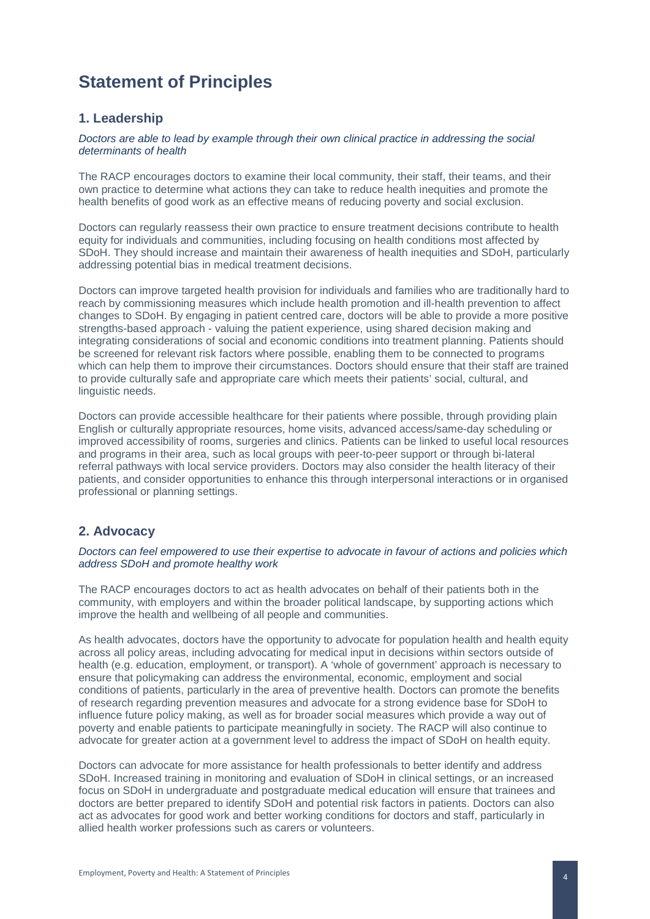# <span id="page-4-0"></span>**Statement of Principles**

### <span id="page-4-1"></span>**1. Leadership**

#### *Doctors are able to lead by example through their own clinical practice in addressing the social determinants of health*

The RACP encourages doctors to examine their local community, their staff, their teams, and their own practice to determine what actions they can take to reduce health inequities and promote the health benefits of good work as an effective means of reducing poverty and social exclusion.

Doctors can regularly reassess their own practice to ensure treatment decisions contribute to health equity for individuals and communities, including focusing on health conditions most affected by SDoH. They should increase and maintain their awareness of health inequities and SDoH, particularly addressing potential bias in medical treatment decisions.

Doctors can improve targeted health provision for individuals and families who are traditionally hard to reach by commissioning measures which include health promotion and ill-health prevention to affect changes to SDoH. By engaging in patient centred care, doctors will be able to provide a more positive strengths-based approach - valuing the patient experience, using shared decision making and integrating considerations of social and economic conditions into treatment planning. Patients should be screened for relevant risk factors where possible, enabling them to be connected to programs which can help them to improve their circumstances. Doctors should ensure that their staff are trained to provide culturally safe and appropriate care which meets their patients' social, cultural, and linguistic needs.

Doctors can provide accessible healthcare for their patients where possible, through providing plain English or culturally appropriate resources, home visits, advanced access/same-day scheduling or improved accessibility of rooms, surgeries and clinics. Patients can be linked to useful local resources and programs in their area, such as local groups with peer-to-peer support or through bi-lateral referral pathways with local service providers. Doctors may also consider the health literacy of their patients, and consider opportunities to enhance this through interpersonal interactions or in organised professional or planning settings.

## <span id="page-4-2"></span>**2. Advocacy**

#### *Doctors can feel empowered to use their expertise to advocate in favour of actions and policies which address SDoH and promote healthy work*

The RACP encourages doctors to act as health advocates on behalf of their patients both in the community, with employers and within the broader political landscape, by supporting actions which improve the health and wellbeing of all people and communities.

As health advocates, doctors have the opportunity to advocate for population health and health equity across all policy areas, including advocating for medical input in decisions within sectors outside of health (e.g. education, employment, or transport). A 'whole of government' approach is necessary to ensure that policymaking can address the environmental, economic, employment and social conditions of patients, particularly in the area of preventive health. Doctors can promote the benefits of research regarding prevention measures and advocate for a strong evidence base for SDoH to influence future policy making, as well as for broader social measures which provide a way out of poverty and enable patients to participate meaningfully in society. The RACP will also continue to advocate for greater action at a government level to address the impact of SDoH on health equity.

Doctors can advocate for more assistance for health professionals to better identify and address SDoH. Increased training in monitoring and evaluation of SDoH in clinical settings, or an increased focus on SDoH in undergraduate and postgraduate medical education will ensure that trainees and doctors are better prepared to identify SDoH and potential risk factors in patients. Doctors can also act as advocates for good work and better working conditions for doctors and staff, particularly in allied health worker professions such as carers or volunteers.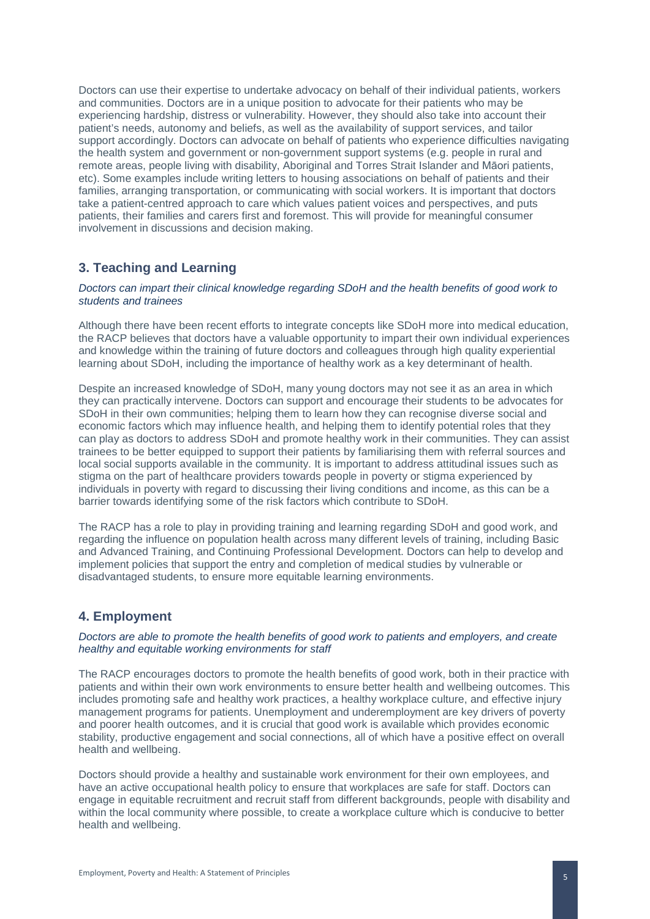Doctors can use their expertise to undertake advocacy on behalf of their individual patients, workers and communities. Doctors are in a unique position to advocate for their patients who may be experiencing hardship, distress or vulnerability. However, they should also take into account their patient's needs, autonomy and beliefs, as well as the availability of support services, and tailor support accordingly. Doctors can advocate on behalf of patients who experience difficulties navigating the health system and government or non-government support systems (e.g. people in rural and remote areas, people living with disability, Aboriginal and Torres Strait Islander and Māori patients, etc). Some examples include writing letters to housing associations on behalf of patients and their families, arranging transportation, or communicating with social workers. It is important that doctors take a patient-centred approach to care which values patient voices and perspectives, and puts patients, their families and carers first and foremost. This will provide for meaningful consumer involvement in discussions and decision making.

# <span id="page-5-0"></span>**3. Teaching and Learning**

#### *Doctors can impart their clinical knowledge regarding SDoH and the health benefits of good work to students and trainees*

Although there have been recent efforts to integrate concepts like SDoH more into medical education, the RACP believes that doctors have a valuable opportunity to impart their own individual experiences and knowledge within the training of future doctors and colleagues through high quality experiential learning about SDoH, including the importance of healthy work as a key determinant of health.

Despite an increased knowledge of SDoH, many young doctors may not see it as an area in which they can practically intervene. Doctors can support and encourage their students to be advocates for SDoH in their own communities; helping them to learn how they can recognise diverse social and economic factors which may influence health, and helping them to identify potential roles that they can play as doctors to address SDoH and promote healthy work in their communities. They can assist trainees to be better equipped to support their patients by familiarising them with referral sources and local social supports available in the community. It is important to address attitudinal issues such as stigma on the part of healthcare providers towards people in poverty or stigma experienced by individuals in poverty with regard to discussing their living conditions and income, as this can be a barrier towards identifying some of the risk factors which contribute to SDoH.

The RACP has a role to play in providing training and learning regarding SDoH and good work, and regarding the influence on population health across many different levels of training, including Basic and Advanced Training, and Continuing Professional Development. Doctors can help to develop and implement policies that support the entry and completion of medical studies by vulnerable or disadvantaged students, to ensure more equitable learning environments.

### <span id="page-5-1"></span>**4. Employment**

#### *Doctors are able to promote the health benefits of good work to patients and employers, and create healthy and equitable working environments for staff*

The RACP encourages doctors to promote the health benefits of good work, both in their practice with patients and within their own work environments to ensure better health and wellbeing outcomes. This includes promoting safe and healthy work practices, a healthy workplace culture, and effective injury management programs for patients. Unemployment and underemployment are key drivers of poverty and poorer health outcomes, and it is crucial that good work is available which provides economic stability, productive engagement and social connections, all of which have a positive effect on overall health and wellbeing.

Doctors should provide a healthy and sustainable work environment for their own employees, and have an active occupational health policy to ensure that workplaces are safe for staff. Doctors can engage in equitable recruitment and recruit staff from different backgrounds, people with disability and within the local community where possible, to create a workplace culture which is conducive to better health and wellbeing.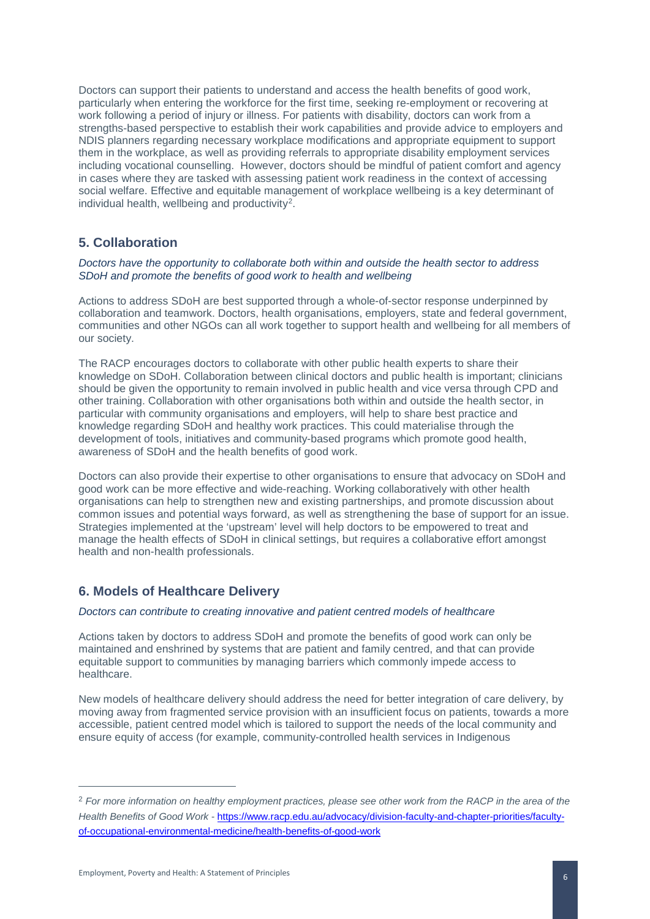Doctors can support their patients to understand and access the health benefits of good work, particularly when entering the workforce for the first time, seeking re-employment or recovering at work following a period of injury or illness. For patients with disability, doctors can work from a strengths-based perspective to establish their work capabilities and provide advice to employers and NDIS planners regarding necessary workplace modifications and appropriate equipment to support them in the workplace, as well as providing referrals to appropriate disability employment services including vocational counselling. However, doctors should be mindful of patient comfort and agency in cases where they are tasked with assessing patient work readiness in the context of accessing social welfare. Effective and equitable management of workplace wellbeing is a key determinant of individual health, wellbeing and productivity[2.](#page-6-2)

### <span id="page-6-0"></span>**5. Collaboration**

#### *Doctors have the opportunity to collaborate both within and outside the health sector to address SDoH and promote the benefits of good work to health and wellbeing*

Actions to address SDoH are best supported through a whole-of-sector response underpinned by collaboration and teamwork. Doctors, health organisations, employers, state and federal government, communities and other NGOs can all work together to support health and wellbeing for all members of our society.

The RACP encourages doctors to collaborate with other public health experts to share their knowledge on SDoH. Collaboration between clinical doctors and public health is important; clinicians should be given the opportunity to remain involved in public health and vice versa through CPD and other training. Collaboration with other organisations both within and outside the health sector, in particular with community organisations and employers, will help to share best practice and knowledge regarding SDoH and healthy work practices. This could materialise through the development of tools, initiatives and community-based programs which promote good health, awareness of SDoH and the health benefits of good work.

Doctors can also provide their expertise to other organisations to ensure that advocacy on SDoH and good work can be more effective and wide-reaching. Working collaboratively with other health organisations can help to strengthen new and existing partnerships, and promote discussion about common issues and potential ways forward, as well as strengthening the base of support for an issue. Strategies implemented at the 'upstream' level will help doctors to be empowered to treat and manage the health effects of SDoH in clinical settings, but requires a collaborative effort amongst health and non-health professionals.

### <span id="page-6-1"></span>**6. Models of Healthcare Delivery**

#### *Doctors can contribute to creating innovative and patient centred models of healthcare*

Actions taken by doctors to address SDoH and promote the benefits of good work can only be maintained and enshrined by systems that are patient and family centred, and that can provide equitable support to communities by managing barriers which commonly impede access to healthcare.

New models of healthcare delivery should address the need for better integration of care delivery, by moving away from fragmented service provision with an insufficient focus on patients, towards a more accessible, patient centred model which is tailored to support the needs of the local community and ensure equity of access (for example, community-controlled health services in Indigenous

 $\overline{a}$ 

<span id="page-6-2"></span><sup>2</sup> *For more information on healthy employment practices, please see other work from the RACP in the area of the Health Benefits of Good Work -* [https://www.racp.edu.au/advocacy/division-faculty-and-chapter-priorities/faculty](https://www.racp.edu.au/advocacy/division-faculty-and-chapter-priorities/faculty-of-occupational-environmental-medicine/health-benefits-of-good-work)[of-occupational-environmental-medicine/health-benefits-of-good-work](https://www.racp.edu.au/advocacy/division-faculty-and-chapter-priorities/faculty-of-occupational-environmental-medicine/health-benefits-of-good-work)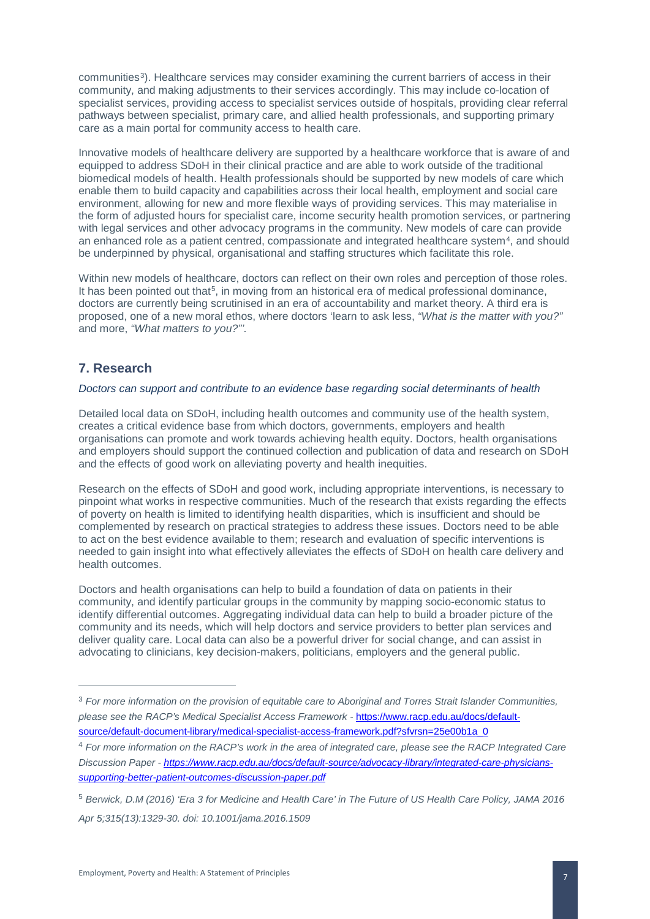communities<sup>[3](#page-7-1)</sup>). Healthcare services may consider examining the current barriers of access in their community, and making adjustments to their services accordingly. This may include co-location of specialist services, providing access to specialist services outside of hospitals, providing clear referral pathways between specialist, primary care, and allied health professionals, and supporting primary care as a main portal for community access to health care.

Innovative models of healthcare delivery are supported by a healthcare workforce that is aware of and equipped to address SDoH in their clinical practice and are able to work outside of the traditional biomedical models of health. Health professionals should be supported by new models of care which enable them to build capacity and capabilities across their local health, employment and social care environment, allowing for new and more flexible ways of providing services. This may materialise in the form of adjusted hours for specialist care, income security health promotion services, or partnering with legal services and other advocacy programs in the community. New models of care can provide an enhanced role as a patient centred, compassionate and integrated healthcare system<sup>[4](#page-7-2)</sup>, and should be underpinned by physical, organisational and staffing structures which facilitate this role.

Within new models of healthcare, doctors can reflect on their own roles and perception of those roles. It has been pointed out that<sup>[5](#page-7-3)</sup>, in moving from an historical era of medical professional dominance, doctors are currently being scrutinised in an era of accountability and market theory. A third era is proposed, one of a new moral ethos, where doctors 'learn to ask less, *"What is the matter with you?"* and more, *"What matters to you?"'.* 

### <span id="page-7-0"></span>**7. Research**

-

#### *Doctors can support and contribute to an evidence base regarding social determinants of health*

Detailed local data on SDoH, including health outcomes and community use of the health system, creates a critical evidence base from which doctors, governments, employers and health organisations can promote and work towards achieving health equity. Doctors, health organisations and employers should support the continued collection and publication of data and research on SDoH and the effects of good work on alleviating poverty and health inequities.

Research on the effects of SDoH and good work, including appropriate interventions, is necessary to pinpoint what works in respective communities. Much of the research that exists regarding the effects of poverty on health is limited to identifying health disparities, which is insufficient and should be complemented by research on practical strategies to address these issues. Doctors need to be able to act on the best evidence available to them; research and evaluation of specific interventions is needed to gain insight into what effectively alleviates the effects of SDoH on health care delivery and health outcomes.

Doctors and health organisations can help to build a foundation of data on patients in their community, and identify particular groups in the community by mapping socio-economic status to identify differential outcomes. Aggregating individual data can help to build a broader picture of the community and its needs, which will help doctors and service providers to better plan services and deliver quality care. Local data can also be a powerful driver for social change, and can assist in advocating to clinicians, key decision-makers, politicians, employers and the general public.

<span id="page-7-1"></span><sup>3</sup> *For more information on the provision of equitable care to Aboriginal and Torres Strait Islander Communities, please see the RACP's Medical Specialist Access Framework -* [https://www.racp.edu.au/docs/default](https://www.racp.edu.au/docs/default-source/default-document-library/medical-specialist-access-framework.pdf?sfvrsn=25e00b1a_0)[source/default-document-library/medical-specialist-access-framework.pdf?sfvrsn=25e00b1a\\_0](https://www.racp.edu.au/docs/default-source/default-document-library/medical-specialist-access-framework.pdf?sfvrsn=25e00b1a_0)

<span id="page-7-2"></span><sup>4</sup> *For more information on the RACP's work in the area of integrated care, please see the RACP Integrated Care Discussion Paper - [https://www.racp.edu.au/docs/default-source/advocacy-library/integrated-care-physicians](https://www.racp.edu.au/docs/default-source/advocacy-library/integrated-care-physicians-supporting-better-patient-outcomes-discussion-paper.pdf)[supporting-better-patient-outcomes-discussion-paper.pdf](https://www.racp.edu.au/docs/default-source/advocacy-library/integrated-care-physicians-supporting-better-patient-outcomes-discussion-paper.pdf)*

<span id="page-7-3"></span><sup>5</sup> *Berwick, D.M (2016) 'Era 3 for Medicine and Health Care' in The Future of US Health Care Policy, JAMA 2016 Apr 5;315(13):1329-30. doi: 10.1001/jama.2016.1509*